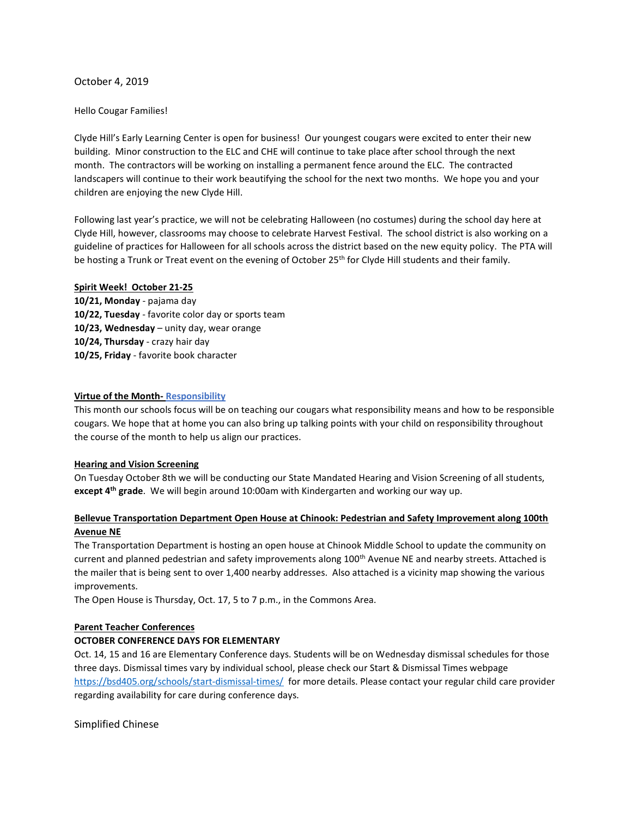## October 4, 2019

### Hello Cougar Families!

Clyde Hill's Early Learning Center is open for business! Our youngest cougars were excited to enter their new building. Minor construction to the ELC and CHE will continue to take place after school through the next month. The contractors will be working on installing a permanent fence around the ELC. The contracted landscapers will continue to their work beautifying the school for the next two months. We hope you and your children are enjoying the new Clyde Hill.

Following last year's practice, we will not be celebrating Halloween (no costumes) during the school day here at Clyde Hill, however, classrooms may choose to celebrate Harvest Festival. The school district is also working on a guideline of practices for Halloween for all schools across the district based on the new equity policy. The PTA will be hosting a Trunk or Treat event on the evening of October 25<sup>th</sup> for Clyde Hill students and their family.

### Spirit Week! October 21-25

10/21, Monday - pajama day 10/22, Tuesday - favorite color day or sports team 10/23, Wednesday – unity day, wear orange 10/24, Thursday - crazy hair day 10/25, Friday - favorite book character

### Virtue of the Month- Responsibility

This month our schools focus will be on teaching our cougars what responsibility means and how to be responsible cougars. We hope that at home you can also bring up talking points with your child on responsibility throughout the course of the month to help us align our practices.

### Hearing and Vision Screening

On Tuesday October 8th we will be conducting our State Mandated Hearing and Vision Screening of all students, except 4<sup>th</sup> grade. We will begin around 10:00am with Kindergarten and working our way up.

# Bellevue Transportation Department Open House at Chinook: Pedestrian and Safety Improvement along 100th Avenue NE

The Transportation Department is hosting an open house at Chinook Middle School to update the community on current and planned pedestrian and safety improvements along 100<sup>th</sup> Avenue NE and nearby streets. Attached is the mailer that is being sent to over 1,400 nearby addresses. Also attached is a vicinity map showing the various improvements.

The Open House is Thursday, Oct. 17, 5 to 7 p.m., in the Commons Area.

# Parent Teacher Conferences

# OCTOBER CONFERENCE DAYS FOR ELEMENTARY

Oct. 14, 15 and 16 are Elementary Conference days. Students will be on Wednesday dismissal schedules for those three days. Dismissal times vary by individual school, please check our Start & Dismissal Times webpage https://bsd405.org/schools/start-dismissal-times/ for more details. Please contact your regular child care provider regarding availability for care during conference days.

Simplified Chinese